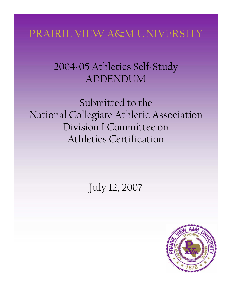# PRAIRIE VIEW A&M UNIVERSITY

# 2004-05 Athletics Self-Study ADDENDUM

Submitted to the National Collegiate Athletic Association Division I Committee on Athletics Certification

July 12, 2007

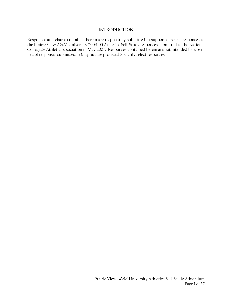#### **INTRODUCTION**

Responses and charts contained herein are respectfully submitted in support of select responses to the Prairie View A&M University 2004-05 Athletics Self-Study responses submitted to the National Collegiate Athletic Association in May 2007. Responses contained herein are not intended for use in lieu of responses submitted in May but are provided to clarify select responses.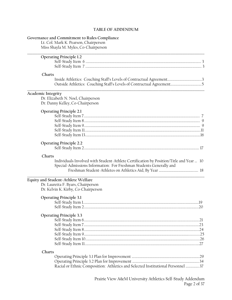#### **TABLE OF ADDENDUM**

# **Governance and Commitment to Rules Compliance**

Lt. Col. Mark K. Pearson, Chairperson Miss Shayla M. Myles, Co-Chairperson

| <b>Operating Principle 1.2</b>                                                                                                                                          |    |
|-------------------------------------------------------------------------------------------------------------------------------------------------------------------------|----|
|                                                                                                                                                                         |    |
|                                                                                                                                                                         |    |
| Charts                                                                                                                                                                  |    |
|                                                                                                                                                                         |    |
| Academic Integrity<br>Dr. Elizabeth N. Noel, Chairperson<br>Dr. Danny Kelley, Co-Chairperson                                                                            |    |
| <b>Operating Principle 2.1</b>                                                                                                                                          |    |
|                                                                                                                                                                         |    |
|                                                                                                                                                                         |    |
|                                                                                                                                                                         |    |
| <b>Operating Principle 2.2</b>                                                                                                                                          |    |
| Charts<br>Individuals Involved with Student-Athlete Certification by Position/Title and Year  10<br>Special-Admissions Information: For Freshman Students Generally and |    |
| Equity and Student-Athlete Welfare<br>Dr. Lauretta F. Byars, Chairperson<br>Dr. Kelvin K. Kirby, Co-Chairperson                                                         |    |
| <b>Operating Principle 3.1</b>                                                                                                                                          |    |
|                                                                                                                                                                         |    |
| <b>Operating Principle 3.3</b>                                                                                                                                          |    |
|                                                                                                                                                                         | 21 |
|                                                                                                                                                                         |    |
|                                                                                                                                                                         |    |
|                                                                                                                                                                         |    |
| Charts                                                                                                                                                                  |    |
|                                                                                                                                                                         |    |
|                                                                                                                                                                         |    |
| Racial or Ethnic Composition: Athletics and Selected Institutional Personnel 37                                                                                         |    |
|                                                                                                                                                                         |    |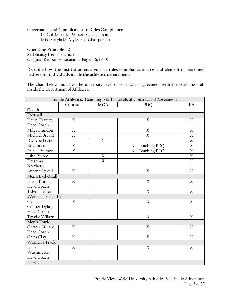# **Governance and Commitment to Rules Compliance**

Lt. Col. Mark K. Pearson, Chairperson Miss Shayla M. Myles, Co-Chairperson

**Operating Principle 1.2 Self-Study Items: 6 and 7 Original Response Location: Pages 16, 18-19** 

**Describe how the institution ensures that rules compliance is a central element in personnel matters for individuals inside the athletics department?** 

The chart below indicates the university level of contractual agreement with the coaching staff inside the Department of Athletics:

| Inside Athletics: Coaching Staff's Levels of Contractual Agreement            |                         |                  |                  |                |  |
|-------------------------------------------------------------------------------|-------------------------|------------------|------------------|----------------|--|
| $\ensuremath{\mathop{\text{\rm PE}}}$<br>Contract<br><b>MOA</b><br><b>PDQ</b> |                         |                  |                  |                |  |
| Coach                                                                         |                         |                  |                  |                |  |
| Football                                                                      |                         |                  |                  |                |  |
| Henry Frazier,                                                                | X                       |                  | X                | X              |  |
| Head Coach                                                                    |                         |                  |                  |                |  |
| Miles Brandon                                                                 | $\mathbf X$             |                  | X                | X              |  |
| Michael Bryant                                                                | $\overline{\mathrm{X}}$ |                  | $\overline{X}$   | $\overline{X}$ |  |
| Dwayne Foster                                                                 |                         | $\boldsymbol{X}$ |                  | $\overline{X}$ |  |
| Roy Jones                                                                     | $\boldsymbol{X}$        |                  | X - Teaching PDQ | $\overline{X}$ |  |
| Prince Pearson                                                                | X                       |                  | X - Teaching PDQ | $\overline{X}$ |  |
| John Pearce                                                                   |                         | $\boldsymbol{X}$ |                  | $\overline{X}$ |  |
| Heishma                                                                       |                         | $\overline{X}$   |                  | $\overline{X}$ |  |
| Northern                                                                      |                         |                  |                  |                |  |
| Antone Sewell                                                                 | $\overline{X}$          |                  | $\overline{X}$   | $\overline{X}$ |  |
| Men's Basketball                                                              |                         |                  |                  |                |  |
| Bryon Rimm,                                                                   | $\overline{X}$          |                  | X                | $\overline{X}$ |  |
| Head Coach                                                                    |                         |                  |                  |                |  |
| Talvin Hester                                                                 |                         |                  | X                | $\overline{X}$ |  |
| Women's Basketball                                                            |                         |                  |                  |                |  |
| Cynthia                                                                       | $\mathbf X$             |                  | $\overline{X}$   | $\mathbf X$    |  |
| Cooper-Dyke,                                                                  |                         |                  |                  |                |  |
| Head Coach                                                                    |                         |                  |                  |                |  |
| Toyelle Wilson                                                                |                         |                  | X                | X              |  |
| Men's Track                                                                   |                         |                  |                  |                |  |
| Clifton Gilliard,                                                             | $\boldsymbol{X}$        |                  | $\overline{X}$   | X              |  |
| Head Coach                                                                    |                         |                  |                  |                |  |
| Chris Clay                                                                    | X                       |                  | X                | X              |  |
| Women's Track                                                                 |                         |                  |                  |                |  |
| Essie                                                                         | $\overline{X}$          |                  | $\overline{X}$   | $\overline{X}$ |  |
| Washington,                                                                   |                         |                  |                  |                |  |
| Head Coach                                                                    |                         |                  |                  |                |  |
| Baseball                                                                      |                         |                  |                  |                |  |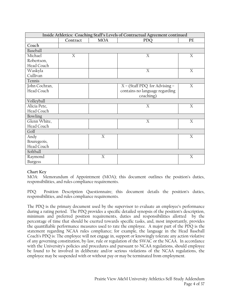| Inside Athletics: Coaching Staff's Levels of Contractual Agreement continued |          |                                |                                 |   |  |  |  |
|------------------------------------------------------------------------------|----------|--------------------------------|---------------------------------|---|--|--|--|
|                                                                              | Contract | <b>MOA</b><br>PE<br><b>PDQ</b> |                                 |   |  |  |  |
| Coach                                                                        |          |                                |                                 |   |  |  |  |
| Baseball                                                                     |          |                                |                                 |   |  |  |  |
| Michael                                                                      | X        |                                | X                               | X |  |  |  |
| Robertson,                                                                   |          |                                |                                 |   |  |  |  |
| Head Coach                                                                   |          |                                |                                 |   |  |  |  |
| Waskyla                                                                      |          |                                | X                               | X |  |  |  |
| Cullivan                                                                     |          |                                |                                 |   |  |  |  |
| Tennis                                                                       |          |                                |                                 |   |  |  |  |
| John Cochran,                                                                |          |                                | $X - (Staff PDQ for Advising -$ | X |  |  |  |
| Head Coach                                                                   |          |                                | contains no language regarding  |   |  |  |  |
|                                                                              |          |                                | coaching)                       |   |  |  |  |
| Volleyball                                                                   |          |                                |                                 |   |  |  |  |
| Alicia Pete,                                                                 |          |                                | X                               | X |  |  |  |
| Head Coach                                                                   |          |                                |                                 |   |  |  |  |
| Bowling                                                                      |          |                                |                                 |   |  |  |  |
| Glenn White,                                                                 |          |                                | X                               | X |  |  |  |
| Head Coach                                                                   |          |                                |                                 |   |  |  |  |
| Golf                                                                         |          |                                |                                 |   |  |  |  |
| Andy                                                                         |          | X                              |                                 | X |  |  |  |
| Bouregeois,                                                                  |          |                                |                                 |   |  |  |  |
| Head Coach                                                                   |          |                                |                                 |   |  |  |  |
| Softball                                                                     |          |                                |                                 |   |  |  |  |
| Raymond                                                                      |          | X                              |                                 | X |  |  |  |
| <b>Burgess</b>                                                               |          |                                |                                 |   |  |  |  |

# **Chart Key**

MOA: Memorandum of Appointment (MOA); this document outlines the position's duties, responsibilities, and rules compliance requirements.

PDQ: Position Description Questionnaire; this document details the position's duties, responsibilities, and rules compliance requirements.

The PDQ is the primary document used by the supervisor to evaluate an employee's performance during a rating period. The PDQ provides a specific detailed synopsis of the position's description, minimum and preferred position requirements, duties and responsibilities allotted by the percentage of time that should be exerted towards specific tasks, and, most importantly, provides the quantifiable performance measures used to rate the employee. A major part of the PDQ is the statement regarding NCAA rules compliance; for example, the language in the Head Baseball Coach's PDQ is: The employee will not engage in, support or knowingly tolerate any action violative of any governing constitution, by-law, rule or regulation of the SWAC or the NCAA. In accordance with the University's policies and procedures and pursuant to NCAA regulations, should employee be found to be involved in deliberate and/or serious violations of the NCAA regulations, the employee may be suspended with or without pay or may be terminated from employment.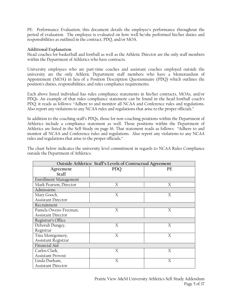PE: Performance Evaluation; this document details the employee's performance throughout the period of evaluation. The employee is evaluated on how well he/she performed his/her duties and responsibilities as outlined in the contract, PDQ, and/or MOA.

# **Additional Explanation**

Head coaches for basketball and football as well as the Athletic Director are the only staff members within the Department of Athletics who have contracts.

University employees who are part-time coaches and assistant coaches employed outside the university are the only Athletic Department staff members who have a Memorandum of Appointment (MOA) in lieu of a Position Description Questionnaire (PDQ) which outlines the position's duties, responsibilities, and rules compliance requirements.

Each above listed individual has rules compliance statements in his/her contracts, MOAs, and/or PDQs. An example of that rules compliance statement can be found in the head football coach's PDQ; it reads as follows: "Adhere to and monitor all NCAA and Conference rules and regulations. Also report any violations to any NCAA rules and regulations that arise to the proper officials."

In addition to the coaching staff's PDQs, those for non-coaching positions within the Department of Athletics include a compliance statement as well. Those positions within the Department of Athletics are listed in the Self-Study on page 16. That statement reads as follows: "Adhere to and monitor all NCAA and Conference rules and regulations. Also report any violations to any NCAA rules and regulations that arise to the proper officials."

The chart below indicates the university level commitment in regards to NCAA Rules Compliance outside the Department of Athletics:

| Outside Athletics: Staff's Levels of Contractual Agreement |            |    |  |  |  |  |
|------------------------------------------------------------|------------|----|--|--|--|--|
| Agreement                                                  | <b>PDQ</b> | PE |  |  |  |  |
| <b>Staff</b>                                               |            |    |  |  |  |  |
| Enrollment Management                                      |            |    |  |  |  |  |
| Mark Pearson, Director                                     | X          | Χ  |  |  |  |  |
| Admissions                                                 |            |    |  |  |  |  |
| Mary Gooch,                                                | X          | X  |  |  |  |  |
| <b>Assistant Director</b>                                  |            |    |  |  |  |  |
| Recruitment                                                |            |    |  |  |  |  |
| Pamela Owens-Freeman,                                      | X          | X  |  |  |  |  |
| <b>Assistant Director</b>                                  |            |    |  |  |  |  |
| Registrar's Office                                         |            |    |  |  |  |  |
| Deborah Dungey,                                            | X          | Χ  |  |  |  |  |
| Registrar                                                  |            |    |  |  |  |  |
| Tina Montgomery,                                           | X          | X  |  |  |  |  |
| Assistant Registrar                                        |            |    |  |  |  |  |
| Financial Aid                                              |            |    |  |  |  |  |
| Carlos Clark,                                              | X          | X  |  |  |  |  |
| <b>Assistant Provost</b>                                   |            |    |  |  |  |  |
| Linda Durham,                                              | X          | X  |  |  |  |  |
| <b>Assistant Director</b>                                  |            |    |  |  |  |  |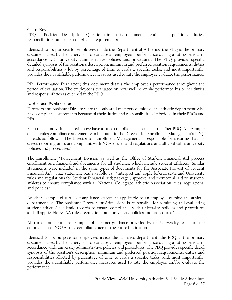# **Chart Key**

PDQ: Position Description Questionnaire; this document details the position's duties, responsibilities, and rules compliance requirements.

Identical to its purpose for employees inside the Department of Athletics, the PDQ is the primary document used by the supervisor to evaluate an employee's performance during a rating period, in accordance with university administrative policies and procedures. The PDQ provides specific detailed synopsis of the position's description, minimum and preferred position requirements, duties and responsibilities a lot by percentage of time towards a specific tasks, and most importantly, provides the quantifiable performance measures used to rate the employee evaluate the performance.

PE: Performance Evaluation; this document details the employee's performance throughout the period of evaluation. The employee is evaluated on how well he or she performed his or her duties and responsibilities as outlined in the PDQ.

# **Additional Explanation**

Directors and Assistant Directors are the only staff members outside of the athletic department who have compliance statements because of their duties and responsibilities imbedded in their PDQs and PEs.

Each of the individuals listed above have a rules compliance statement in his/her PDQ. An example of that rules compliance statement can be found in the Director for Enrollment Management's PDQ; it reads as follows, "The Director for Enrollment Management is responsible for ensuring that his direct reporting units are compliant with NCAA rules and regulations and all applicable university policies and procedures."

The Enrollment Management Division as well as the Office of Student Financial Aid process enrollment and financial aid documents for all students, which include student-athletes. Similar statements were included in the same types of documents for the Associate Provost of Student Financial Aid. That statement reads as follows: "Interpret and apply federal, state and University rules and regulations for Student Financial Aid; package , approve, and monitor all aid to studentathletes to ensure compliance with all National Collegiate Athletic Association rules, regulations, and policies."

Another example of a rules compliance statement applicable to an employee outside the athletic department is: "The Assistant Director for Admissions is responsible for admitting and evaluating student-athletes' academic records to ensure compliance with university policies and procedures and all applicable NCAA rules, regulations, and university policies and procedures."

All three statements are examples of succinct guidance provided by the University to ensure the enforcement of NCAA rules compliance across the entire institution.

Identical to its purpose for employees inside the athletics department, the PDQ is the primary document used by the supervisor to evaluate an employee's performance during a rating period, in accordance with university administrative policies and procedures. The PDQ provides specific detail synopsis of the position's description, minimum and preferred position requirements, duties and responsibilities allotted by percentage of time towards a specific tasks, and, most importantly, provides the quantifiable performance measures used to rate the employee and/or evaluate the performance.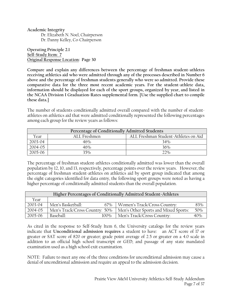**Academic Integrity**  Dr. Elizabeth N. Noel, Chairperson Dr. Danny Kelley, Co-Chairperson

**Operating Principle 2.1 Self-Study Item: 7 Original Response Location: Page 30** 

**Compare and explain any differences between the percentage of freshman student-athletes receiving athletics aid who were admitted through any of the processes described in Number 6 above and the percentage of freshman students generally who were so admitted. Provide these comparative data for the three most recent academic years. For the student-athlete data, information should be displayed for each of the sport groups, organized by year, and listed in the NCAA Division I Graduation-Rates supplemental form. [Use the supplied chart to compile these data.]** 

The number of students conditionally admitted overall compared with the number of studentathletes on athletics aid that were admitted conditionally represented the following percentages among each group for the review years as follows:

| Percentage of Conditionally Admitted Students                |     |     |  |  |  |
|--------------------------------------------------------------|-----|-----|--|--|--|
| ALL Freshman Student-Athletes on Aid<br>ALL Freshmen<br>Year |     |     |  |  |  |
| 2003-04                                                      | 46% | 34% |  |  |  |
| $2004 - 05$                                                  | 46% | 36% |  |  |  |
| 2005-06                                                      | 35% | 22% |  |  |  |

The percentage of freshman student-athletes conditionally admitted was lower than the overall population by 12, 10, and 13, respectively, percentage points over the review years. However, the percentage of freshman student-athletes on athletics aid by sport group indicated that among the eight categories identified for data entry, the following sport groups were noted as having a higher percentage of conditionally admitted students than the overall population.

| Higher Percentages of Conditionally Admitted Student-Athletes |                                |                                      |     |  |  |  |
|---------------------------------------------------------------|--------------------------------|--------------------------------------|-----|--|--|--|
| Year                                                          |                                |                                      |     |  |  |  |
| 2003-04                                                       | Men's Basketball:<br>67%       | Women's Track/Cross Country:         | 83% |  |  |  |
| 2004-05                                                       | Men's Track/Cross Country: 50% | Men's Other Sports and Mixed Sports: | 50% |  |  |  |
| 2005-06                                                       | Baseball:<br>$100\%$           | Men's Track/Cross Country:           | 40% |  |  |  |

As cited in the response to Self-Study Item 6, the University catalogs for the review years indicate that **Unconditional admission requires** a student to have: an ACT score of 17 or greater or SAT score of 820 or greater; grade point average of 2.5 or greater on a 4.0 scale in addition to an official high school transcript or GED; and passage of any state mandated examination used as a high school exit examination.

NOTE: Failure to meet any one of the three conditions for unconditional admission may cause a denial of unconditional admission and require an appeal to the admission decision.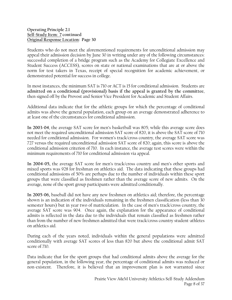Students who do not meet the aforementioned requirements for unconditional admission may appeal their admission decision by June 30 in writing under any of the following circumstances: successful completion of a bridge program such as the Academy for Collegiate Excellence and Student Success (ACCESS), scores on state or national examinations that are at or above the norm for test takers in Texas, receipt of special recognition for academic achievement, or demonstrated potential for success in college.

In most instances, the minimum SAT is 710 or ACT is 15 for conditional admission. Students are **admitted on a conditional (provisional) basis if the appeal is granted by the committee**, then signed off by the Provost and Senior Vice President for Academic and Student Affairs.

Additional data indicate that for the athletic groups for which the percentage of conditional admits was above the general population, each group on an average demonstrated adherence to at least one of the circumstances for conditional admission.

**In 2003-04**, the average SAT score for men's basketball was 805; while this average score does not meet the required unconditional admission SAT score of 820, it is above the SAT score of 710 needed for conditional admission. For women's track/cross country, the average SAT score was 727 versus the required unconditional admission SAT score of 820; again, this score is above the conditional admission criterion of 710. In each instance, the average test scores were within the minimum requirements of 710 for conditional admission via appeal.

**In 2004-05,** the average SAT score for men's track/cross country and men's other sports and mixed sports was 928 for freshman on athletics aid. The data indicating that these groups had conditional admissions of 50% are perhaps due to the number of individuals within these sport groups that were classified as freshmen rather than the average score of new admits. On the average, none of the sport group participants were admitted conditionally.

**In 2005-06,** baseball did not have any new freshmen on athletics aid; therefore, the percentage shown is an indication of the individuals remaining in the freshmen classification (less than 30 semester hours) but in year two of matriculation. In the case of men's track/cross country, the average SAT score was 904. Once again, the explanation for the appearance of conditional admits is reflected in the data due to the individuals that remain classified as freshmen rather than from the number of new freshmen admitted that were track/cross country student-athletes on athletics aid.

During each of the years noted, individuals within the general populations were admitted conditionally with average SAT scores of less than 820 but above the conditional admit SAT score of 710.

Data indicate that for the sport groups that had conditional admits above the average for the general population, in the following year, the percentage of conditional admits was reduced or non-existent. Therefore, it is believed that an improvement plan is not warranted since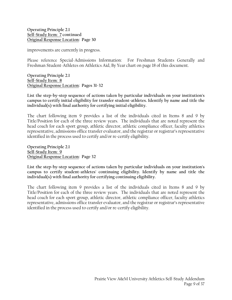improvements are currently in progress.

Please reference Special-Admissions Information: For Freshman Students Generally and Freshman Student-Athletes on Athletics Aid, By Year chart on page 18 of this document.

**Operating Principle 2.1 Self-Study Item: 8 Original Response Location: Pages 31-32** 

**List the step-by-step sequence of actions taken by particular individuals on your institution's campus to certify initial eligibility for transfer student-athletes. Identify by name and title the individual(s) with final authority for certifying initial eligibility.** 

The chart following item 9 provides a list of the individuals cited in Items 8 and 9 by Title/Position for each of the three review years. The individuals that are noted represent the head coach for each sport group, athletic director, athletic compliance officer, faculty athletics representative, admissions office transfer evaluator, and the registrar or registrar's representative identified in the process used to certify and/or re-certify eligibility.

**Operating Principle 2.1 Self-Study Item: 9 Original Response Location: Page 32** 

**List the step-by-step sequence of actions taken by particular individuals on your institution's campus to certify student-athletes' continuing eligibility. Identify by name and title the individual(s) with final authority for certifying continuing eligibility.** 

The chart following item 9 provides a list of the individuals cited in Items 8 and 9 by Title/Position for each of the three review years. The individuals that are noted represent the head coach for each sport group, athletic director, athletic compliance officer, faculty athletics representative, admissions office transfer evaluator, and the registrar or registrar's representative identified in the process used to certify and/or re-certify eligibility.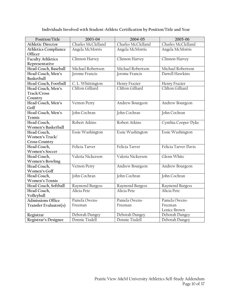# **Individuals Involved with Student-Athlete Certification by Position/Title and Year**

| Position/Title                                        | 2003-04                  | 2004-05                  | 2005-06                                  |  |
|-------------------------------------------------------|--------------------------|--------------------------|------------------------------------------|--|
| Athletic Director                                     | Charles McClelland       | Charles McClelland       | Charles McClelland                       |  |
| <b>Athletics Compliance</b><br>Officer                | Angela McMorris          | Angela McMorris          | Angela McMorris                          |  |
| <b>Faculty Athletics</b><br>Representative            | Clinnon Harvey           | Clinnon Harvey           | Clinnon Harvey                           |  |
| Head Coach, Baseball                                  | Michael Robertson        | Michael Robertson        | Michael Robertson                        |  |
| Head Coach, Men's<br>Basketball                       | Jerome Francis           | Jerome Francis           | Darrell Hawkins                          |  |
| Head Coach, Football                                  | C. L. Whittington        | <b>Henry Frazier</b>     | Henry Frazier                            |  |
| Head Coach, Men's<br>Track/Cross<br>Country           | Clifton Gilliard         | Clifton Gilliard         | Clifton Gilliard                         |  |
| Head Coach, Men's<br>Golf                             | Vernon Perry             | Andrew Bourgeon          | Andrew Bourgeon                          |  |
| Head Coach, Men's<br>Tennis                           | John Cochran             | John Cochran             | John Cochran                             |  |
| Head Coach,<br>Women's Basketball                     | Robert Atkins            | Robert Atkins            | Cynthia Cooper-Dyke                      |  |
| Head Coach,<br>Women's Track/<br><b>Cross Country</b> | Essie Washington         | Essie Washington         | Essie Washington                         |  |
| Head Coach,<br><b>Women's Soccer</b>                  | Felicia Tarver           | Felicia Tarver           | Felicia Tarver-Davis                     |  |
| Head Coach,<br>Women's Bowling                        | Valeria Nickerson        | Valeria Nickerson        | Glenn White                              |  |
| Head Coach,<br>Women's Golf                           | Vernon Perry             | Andrew Bourgeon          | Andrew Bourgeon                          |  |
| Head Coach,<br><b>Women's Tennis</b>                  | John Cochran             | John Cochran             | John Cochran                             |  |
| Head Coach, Softball                                  | <b>Raymond Burgess</b>   | Raymond Burgess          | Raymond Burgess                          |  |
| Head Coach,<br>Volleyball                             | Alicia Pete              | Alicia Pete              | Alicia Pete                              |  |
| <b>Admissions Office</b><br>Transfer Evaluator(s)     | Pamela Owens-<br>Freeman | Pamela Owens-<br>Freeman | Pamela Owens-<br>Freeman<br>Lenice Brown |  |
| Registrar                                             | Deborah Dungey           | Deborah Dungey           | Deborah Dungey                           |  |
| Registrar's Designee                                  | Donnie Tisdell           | Donnie Tisdell           | Deborah Dungey                           |  |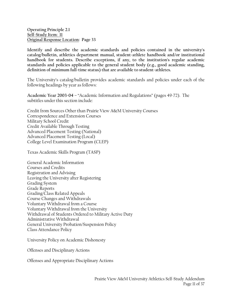**Identify and describe the academic standards and policies contained in the university's catalog/bulletin, athletics department manual, student-athlete handbook and/or institutional handbook for students. Describe exceptions, if any, to the institution's regular academic standards and policies applicable to the general student body (e.g., good academic standing, definition of minimum full-time status) that are available to student-athletes.** 

The University's catalog/bulletin provides academic standards and policies under each of the following headings by year as follows:

**Academic Year 2003-04** – "Academic Information and Regulations" (pages 49-72). The subtitles under this section include:

Credit from Sources Other than Prairie View A&M University Courses Correspondence and Extension Courses Military School Credit Credit Available Through Testing Advanced Placement Testing (National) Advanced Placement Testing (Local) College Level Examination Program (CLEP)

Texas Academic Skills Program (TASP)

General Academic Information Courses and Credits Registration and Advising Leaving the University after Registering Grading System Grade Reports Grading/Class Related Appeals Course Changes and Withdrawals Voluntary Withdrawal from a Course Voluntary Withdrawal from the University Withdrawal of Students Ordered to Military Active Duty Administrative Withdrawal General University Probation/Suspension Policy Class Attendance Policy

University Policy on Academic Dishonesty

Offenses and Disciplinary Actions

Offenses and Appropriate Disciplinary Actions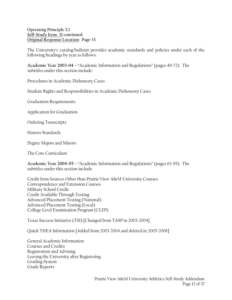The University's catalog/bulletin provides academic standards and policies under each of the following headings by year as follows:

**Academic Year 2003-04** – "Academic Information and Regulations" (pages 49-72). The subtitles under this section include:

Procedures in Academic Dishonesty Cases

Student Rights and Responsibilities in Academic Dishonesty Cases

Graduation Requirements

Application for Graduation

Ordering Transcripts

Honors Standards

Degree Majors and Minors

The Core Curriculum

**Academic Year 2004-05** – "Academic Information and Regulations" (pages 63-95). The subtitles under this section include:

Credit from Sources Other than Prairie View A&M University Courses Correspondence and Extension Courses Military School Credit Credit Available Through Testing Advanced Placement Testing (National) Advanced Placement Testing (Local) College Level Examination Program (CLEP)

Texas Success Initiative (TSI) [Changed from TASP in 2003-2004]

Quick THEA Information [Added from 2003-2004 and deleted in 2005-2006]

General Academic Information Courses and Credits Registration and Advising Leaving the University after Registering Grading System Grade Reports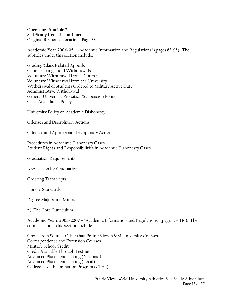**Academic Year 2004-05** – "Academic Information and Regulations" (pages 63-95). The subtitles under this section include:

Grading/Class Related Appeals Course Changes and Withdrawals Voluntary Withdrawal from a Course Voluntary Withdrawal from the University Withdrawal of Students Ordered to Military Active Duty Administrative Withdrawal General University Probation/Suspension Policy Class Attendance Policy

University Policy on Academic Dishonesty

Offenses and Disciplinary Actions

Offenses and Appropriate Disciplinary Actions

Procedures in Academic Dishonesty Cases Student Rights and Responsibilities in Academic Dishonesty Cases

Graduation Requirements

Application for Graduation

Ordering Transcripts

Honors Standards

Degree Majors and Minors

n) The Core Curriculum

**Academic Years 2005-2007** – "Academic Information and Regulations" (pages 94-136). The subtitles under this section include:

Credit from Sources Other than Prairie View A&M University Courses Correspondence and Extension Courses Military School Credit Credit Available Through Testing Advanced Placement Testing (National) Advanced Placement Testing (Local) College Level Examination Program (CLEP)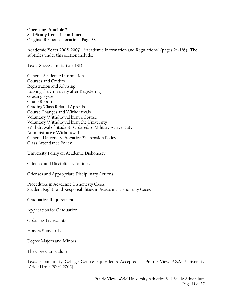**Academic Years 2005-2007** – "Academic Information and Regulations" (pages 94-136). The subtitles under this section include:

Texas Success Initiative (TSI)

General Academic Information Courses and Credits Registration and Advising Leaving the University after Registering Grading System Grade Reports Grading/Class Related Appeals Course Changes and Withdrawals Voluntary Withdrawal from a Course Voluntary Withdrawal from the University Withdrawal of Students Ordered to Military Active Duty Administrative Withdrawal General University Probation/Suspension Policy Class Attendance Policy

University Policy on Academic Dishonesty

Offenses and Disciplinary Actions

Offenses and Appropriate Disciplinary Actions

Procedures in Academic Dishonesty Cases Student Rights and Responsibilities in Academic Dishonesty Cases

Graduation Requirements

Application for Graduation

Ordering Transcripts

Honors Standards

Degree Majors and Minors

The Core Curriculum

Texas Community College Course Equivalents Accepted at Prairie View A&M University [Added from 2004-2005]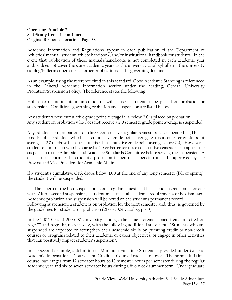Academic Information and Regulations appear in each publication of the Department of Athletics' manual, student-athlete handbook, and/or institutional handbook for students. In the event that publication of these manuals/handbooks is not completed in each academic year and/or does not cover the same academic years as the university catalog/bulletin, the university catalog/bulletin supersedes all other publications as the governing document.

As an example, using the reference cited in this standard, Good Academic Standing is referenced in the General Academic Information section under the heading, General University Probation/Suspension Policy. The reference states the following:

Failure to maintain minimum standards will cause a student to be placed on probation or suspension. Conditions governing probation and suspension are listed below:

Any student whose cumulative grade point average falls below 2.0 is placed on probation. Any student on probation who does not receive a 2.0 semester grade point average is suspended.

Any student on probation for three consecutive regular semesters is suspended. (This is possible if the student who has a cumulative grade point average earns a semester grade point average of 2.0 or above but does not raise the cumulative grade point average above 2.0). However, a student on probation who has earned a 2.0 or better for three consecutive semesters can appeal the suspension to the Admission and Academic Standards Committee before serving the suspension. A decision to continue the student's probation in lieu of suspension must be approved by the Provost and Vice President for Academic Affairs.

If a student's cumulative GPA drops below 1.00 at the end of any long semester (fall or spring), the student will be suspended.

5. The length of the first suspension is one regular semester. The second suspension is for one year. After a second suspension, a student must meet all academic requirements or be dismissed. Academic probation and suspension will be noted on the student's permanent record. Following suspension, a student is on probation for the next semester and, thus, is governed by the guidelines for students on probation (2003-2004 Catalog, p. 60).

In the 2004-05 and 2005-07 University catalogs, the same aforementioned items are cited on page 77 and page 110, respectively, with the following additional statement: "Students who are suspended are expected to strengthen their academic skills by pursuing credit or non-credit courses or programs related to their academic or career objectives, or engage in other activities that can positively impact students' suspension".

In the second example, a definition of Minimum Full-time Student is provided under General Academic Information – Courses and Credits – Course Loads as follows: "The normal full time course load ranges from 12 semester hours to 18-semester hours per semester during the regular academic year and six to seven semester hours during a five-week summer term. Undergraduate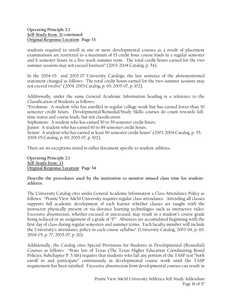students required to enroll in one or more developmental courses as a result of placement examinations are restricted to a maximum of 15 credit hour course loads in a regular semester and 6 semester hours in a five-week summer term. The total credit hours earned for the two summer sessions may not exceed fourteen" (2003-2004 Catalog, p. 54).

In the 2004-05 and 2005-07 University Catalogs, the last sentence of the aforementioned statement changed as follows: The total credit hours earned for the two summer sessions may not exceed twelve" (2004-2005 Catalog, p. 69; 2005-07, p. 102).

Additionally, under the same General Academic Information heading is a reference to the Classification of Students as follows:

"Freshman: A student who has enrolled in regular college work but has earned fewer than 30 semester credit hours. Developmental/Remedial/Study Skills courses do count towards fulltime status and course loads, but not classification.

Sophomore: A student who has earned 30 to 59 semester credit hours.

Junior: A student who has earned 60 to 89 semester credit hours.

Senior: A student who has earned at least 90 semester credit hours" (2003-2004 Catalog, p. 55; 2004-05 Catalog, p. 69; 2005-07, p. 102).

There are no exceptions noted in either document specific to student-athletes.

**Operating Principle 2.1 Self-Study Item: 13 Original Response Location: Page 34** 

**Describe the procedures used by the institution to monitor missed class time for studentathletes.** 

The University Catalog cites under General Academic Information a Class Attendance Policy as follows: "Prairie View A&M University requires regular class attendance. Attending all classes supports full academic development of each learner whether classes are taught with the instructor physically present or via distance learning technologies such as interactive video. Excessive absenteeism, whether excused or unexcused, may result in a student's course grade being reduced or an assignment of a grade of "F". Absences are accumulated beginning with the first day of class during regular semesters and summer terms. Each faculty member will include the University's attendance policy in each course syllabus" (University Catalog, 2003-04, p. 60; 2004-05, p. 77; 2005-07, p. 111).

Additionally, the Catalog cites Special Provisions for Students in Developmental (Remedial) Courses as follows: "State law of Texas (The Texas Higher Education Coordinating Board Policies, Subchapter P, 5.316) requires that students who fail any portion of the TASP test "both enroll in and participate" continuously in developmental course work until the TASP requirement has been satisfied. Excessive absenteeism from developmental courses can result in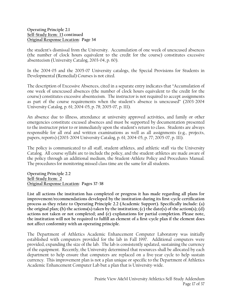the student's dismissal from the University. Accumulation of one week of unexcused absences (the number of clock hours equivalent to the credit for the course) constitutes excessive absenteeism (University Catalog, 2003-04, p. 60).

In the 2004-05 and the 2005-07 University catalogs, the Special Provisions for Students in Developmental (Remedial) Courses is not cited.

The description of Excessive Absences, cited in a separate entry indicates that "Accumulation of one week of unexcused absences (the number of clock hours equivalent to the credit for the course) constitutes excessive absenteeism. The instructor is not required to accept assignments as part of the course requirements when the student's absence is unexcused" (2003-2004 University Catalog, p. 61; 2004-05, p. 78; 2005-07, p. 111).

An absence due to illness, attendance at university approved activities, and family or other emergencies constitute excused absences and must be supported by documentation presented to the instructor prior to or immediately upon the student's return to class. Students are always responsible for all oral and written examinations as well as all assignments (e.g., projects, papers, reports) (2003-2004 University Catalog, p. 61; 2004-05, p. 77; 2005-07, p. 111).

The policy is communicated to all staff, student-athletes, and athletic staff via the University Catalog. All course syllabi are to include the policy, and the student-athletes are made aware of the policy through an additional medium, the Student-Athlete Policy and Procedures Manual. The procedures for monitoring missed class time are the same for all students.

**Operating Principle 2.2 Self-Study Item: 2 Original Response Location: Pages 37-38** 

**List all actions the institution has completed or progress it has made regarding all plans for improvement/recommendations developed by the institution during its first-cycle certification process as they relate to Operating Principle 2.2 (Academic Support). Specifically include: (a) the original plan; (b) the actions(s) taken by the institution; (c) the date(s) of the action(s); (d) actions not taken or not completed; and (e) explanations for partial completion. Please note, the institution will not be required to fulfill an element of a first-cycle plan if the element does not affect conformity with an operating principle.** 

The Department of Athletics Academic Enhancement Computer Laboratory was initially established with computers provided for the lab in Fall 1997. Additional computers were provided, expanding the size of the lab. The lab is consistently updated, sustaining the currency of the equipment. Recently, the University determined that resources shall be allocated by each department to help ensure that computers are replaced on a five-year cycle to help sustain currency. This improvement plan is not a plan unique or specific to the Department of Athletics Academic Enhancement Computer Lab but a plan that is University-wide.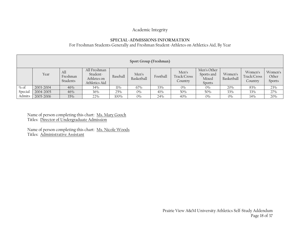# Academic Integrity

# **SPECIAL-ADMISSIONS INFORMATION**

For Freshman Students Generally and Freshman Student-Athletes on Athletics Aid, By Year

|         | Sport Group (Freshman) |                             |                                                          |          |                     |          |                                 |                                              |                       |                                   |                            |
|---------|------------------------|-----------------------------|----------------------------------------------------------|----------|---------------------|----------|---------------------------------|----------------------------------------------|-----------------------|-----------------------------------|----------------------------|
|         | Year                   | All<br>Freshman<br>Students | All Freshman<br>Student-<br>Athletes on<br>Athletics Aid | Baseball | Men's<br>Basketball | Football | Men's<br>Track/Cross<br>Country | Men's Other<br>Sports and<br>Mixed<br>Sports | Women's<br>Basketball | Women's<br>Track/Cross<br>Country | Women's<br>Other<br>Sports |
| $\%$ of | 2003-2004              | 46%                         | 34%                                                      | 11%      | 67%                 | 33%      | $0\%$                           | 0%                                           | 20%                   | 83%                               | 23%                        |
| Special | 2004-2005              | 46%                         | 36%                                                      | 25%      | 0%                  | 41%      | 50%                             | 50%                                          | 33%                   | 33%                               | 27%                        |
| Admits  | 2005-2006              | 35%                         | 22%                                                      | 100%     | $0\%$               | 24%      | 40%                             | 0%                                           | $0\%$                 | 14%                               | 20%                        |

Name of person completing this chart: <u>Ms. Mary Gooch</u> Titles: Director of Undergraduate Admission

Name of person completing this chart: Ms. Nicole Woods Titles: Administrative Assistant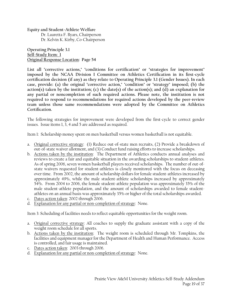**Equity and Student-Athlete Welfare**  Dr. Lauretta F. Byars, Chairperson Dr. Kelvin K. Kirby, Co-Chairperson

**Operating Principle 3.1 Self-Study Item: 1 Original Response Location: Page 54** 

**List all "corrective actions," "conditions for certification" or "strategies for improvement" imposed by the NCAA Division I Committee on Athletics Certification in its first-cycle certification decision (if any) as they relate to Operating Principle 3.1 (Gender Issues). In each case, provide: (a) the original "corrective action," "condition" or "strategy" imposed; (b) the action(s) taken by the institution; (c) the date(s) of the action(s); and (d) an explanation for any partial or noncompletion of such required actions. Please note, the institution is not required to respond to recommendations for required actions developed by the peer-review team unless those same recommendations were adopted by the Committee on Athletics Certification.** 

The following strategies for improvement were developed from the first-cycle to correct gender issues. Issue items 1, 3, 4 and 5 are addressed as required.

Item 1: Scholarship money spent on men basketball versus women basketball is not equitable.

- a. Original corrective strategy: (1) Reduce out-of-state men recruits, (2) Provide a breakdown of out-of-state waiver allotment, and (3) Conduct fund raising efforts to increase scholarships.
- b. Actions taken by the institution: The Department of Athletics conducts annual analyses and reviews to create a fair and equitable situation in the awarding scholarships to student-athletes. As of spring 2006, seven women basketball players received scholarships. The number of out-ofstate waivers requested for student-athletes is closely monitored with the focus on deceasing over time. From 2002, the amount of scholarship dollars for female student-athletes increased by approximately 49%, while the male student-athlete scholarships increased by approximately 54%. From 2004 to 2006, the female student-athlete population was approximately 35% of the male student-athlete population, and the amount of scholarships awarded to female studentathletes on an annual basis was approximately 35% or higher of the total scholarships awarded.
- c. Dates action taken: 2002 through 2006.
- d. Explanation for any partial or non-completion of strategy: None.

Item 3: Scheduling of facilities needs to reflect equitable opportunities for the weight room.

- a. Original corrective strategy: All coaches to supply the graduate assistant with a copy of the weight room schedule for all sports.
- b. Actions taken by the institution: The weight room is scheduled through Mr. Tompkins, the facilities and equipment manager for the Department of Health and Human Performance. Access is controlled, and fair usage is maintained.
- c. Dates action taken: 2003 through 2006.
- d. Explanation for any partial or non-completion of strategy: None.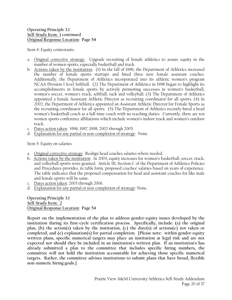Item 4: Equity contestants.

- a. Original corrective strategy: Upgrade recruiting of female athletics to assure equity in the number of women sports, especially basketball and track.
- b. Actions taken by the institution: (1) In the fall of 1996, the Department of Athletics increased the number of female sports startups and hired three new female assistant coaches. Additionally, the Department of Athletics incorporated into its athletic women's program NCAA Division I level Softball. (2) The Department of Athletics in 1998 began to highlight its accomplishments in female sports by actively promoting successes in women's basketball, women's soccer, women's track, softball, rack and volleyball. (3) The Department of Athletics appointed a female Assistant Athletic Director as recruiting coordinator for all sports. (4) In 2002, the Department of Athletics appointed an Assistant Athletic Director for Female Sports as the recruiting coordinator for all sports. (5) The Department of Athletics recently hired a head women's basketball coach as a full-time coach with no teaching duties. Currently, there are ten women sports conference affiliations which include women's indoor track and women's outdoor track.
- c. Dates action taken: 1996, 1997, 1998, 2002 through 2005.
- d. Explanation for any partial or non-completion of strategy: None.

Item 5: Equity on salaries.

- a. Original corrective strategy: Realign head coaches salaries where needed.
- b. Actions taken by the institution: In 2003, equity increases for women's basketball, soccer, track, and volleyball sports were granted. Article III, Section C of the Department of Athletics Policies and Procedures provides, in table form, proposed coaches' salaries based on years of experience. The table indicates that the proposed compensation for head and assistant coaches for like male and female sports will be same.
- c. Dates action taken: 2003 through 2006.
- d. Explanation for any partial or non-completion of strategy: None.

**Operating Principle 3.1 Self-Study Item: 2 Original Response Location: Page 54** 

**Report on the implementation of the plan to address gender-equity issues developed by the institution during its first-cycle certification process. Specifically, include: (a) the original plan, (b) the action(s) taken by the institution, (c) the date(s) of actions(c) not taken or completed, and (e) explanation(s) for partial completion. [Please note: within gender-equity written plans, specific numerical targets may place an institution at legal risk and are not expected nor should they be included in an institution's written plan. If an institution's has already submitted a plan to the committee that includes specific hiring numbers, the committee will not hold the institution accountable for achieving those specific numerical targets. Rather, the committee advises institutions to submit plans that have broad, flexible non-numeric hiring goals.]**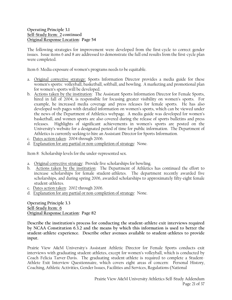The following strategies for improvement were developed from the first-cycle to correct gender issues. Issue items 6 and 8 are addressed to demonstrate the full end results from the first-cycle plan were completed.

Item 6: Media exposure of women's programs needs to be equitable.

- a. Original corrective strategy: Sports Information Director provides a media guide for these women's sports: volleyball, basketball, softball, and bowling. A marketing and promotional plan for women's sports will be developed.
- b. Actions taken by the institution: The Assistant Sports Information Director for Female Sports, hired in fall of 2004, is responsible for focusing greater visibility on women's sports. For example, he increased media coverage and press releases for female sports. He has also developed web pages with detailed information on women's sports, which can be viewed under the news of the Department of Athletics webpage. A media guide was developed for women's basketball, and women sports are also covered during the release of sports bulletins and press releases. Highlights of significant achievements in women's sports are posted on the University's website for a designated period of time for public information. The Department of Athletics is currently seeking to hire an Assistant Director for Sports Information.
- c. Dates action taken: 2004 through 2006.
- d. Explanation for any partial or non-completion of strategy: None.

Item 8: Scholarship levels for the under-represented sex.

- a. Original corrective strategy: Provide five scholarships for bowling.
- b. Actions taken by the institution: The Department of Athletics has continued the effort to increase scholarships for female student-athletes. The department recently awarded five scholarships, and during spring 2006, awarded scholarships to approximately fifty-eight female student-athletes.
- c. Dates action taken: 2002 through 2006.
- d. Explanation for any partial or non-completion of strategy: None.

**Operating Principle 3.3 Self-Study Item: 6 Original Response Location: Page 82** 

**Describe the institution's process for conducting the student-athlete exit interviews required by NCAA Constitution 6.3.2 and the means by which this information is used to better the student-athlete experience. Describe other avenues available to student-athletes to provide input.** 

Prairie View A&M University's Assistant Athletic Director for Female Sports conducts exit interviews with graduating student-athletes, except for women's volleyball, which is conducted by Coach Felicia Tarver-Davis. The graduating student-athlete is required to complete a Student-Athlete Exit Interview Questionnaire, which covers eight areas of concern: Personal History, Coaching, Athletic Activities, Gender Issues, Facilities and Services, Regulations (National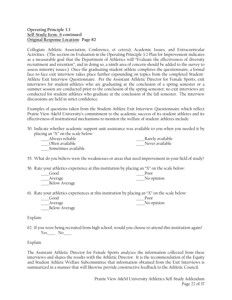Collegiate Athletic Association, Conference, et cetera), Academic Issues, and Extracurricular Activities. (The section on Evaluation in the Operating Principle 3.2 Plan for Improvement indicates as a measurable goal that the Department of Athletics will "Evaluate the effectiveness of diversity recruitment and retention", and in doing so, a ninth area of concern should be added to the survey to assess minority issues.) Once the graduating student-athlete completes the questionnaire, a formal face-to-face exit interview takes place further expounding on topics from the completed Student-Athlete Exit Interview Questionnaire. Per the Assistant Athletic Director for Female Sports, exit interviews for student-athletes who are graduating at the conclusion of a spring semester or a summer session are conducted prior to the conclusion of the spring semester; no exit interviews are conducted for student-athletes who graduate at the conclusion of the fall semester. The interview discussions are held in strict confidence.

Examples of questions taken from the Student-Athlete Exit Interview Questionnaire which reflect Prairie View A&M University's commitment to the academic success of its student athletes and its effectiveness of institutional mechanisms to monitor the welfare of student-athletes include:

50. Indicate whether academic support unit assistance was available to you when you needed it by placing an "X" on the scale below:

| Always reliable     | Rarely available |
|---------------------|------------------|
| Often available     | Never available  |
| Sometimes available |                  |

55. What do you believe were the weaknesses or areas that need improvement in your field of study?

56. Rate your athletics experience at this institution by placing an "X" on the scale below:

| Good                 | Poor       |
|----------------------|------------|
| Average              | No opinion |
| <b>Below Average</b> |            |

61. Rate your athletics experiences at this institution by placing an "X" on the scale below:

| Good                 | Poor       |
|----------------------|------------|
| Average              | No opinion |
| <b>Below Average</b> |            |

Explain.

62. If you were being recruited from high school, would you choose to attend this institution again?  $Yes$  No\_\_\_\_\_\_

Explain.

The Assistant Athletic Director for Female Sports analyzes the information collected from these interviews and shares the results with the Athletic Director. It is the recommendation of the Equity and Student Athlete Welfare Subcommittee that information obtained from the Exit Interviews is summarized in a manner that will likewise provide constructive feedback to the Athletic Council.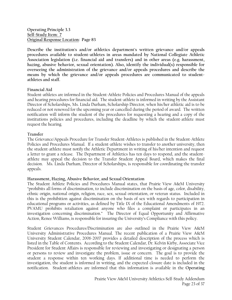**Operating Principle 3.3 Self-Study Item: 7 Original Response Location: Page 83** 

**Describe the institution's and/or athletics department's written grievance and/or appeals procedures available to student-athletes in areas mandated by National Collegiate Athletic Association legislation (i.e. financial aid and transfers) and in other areas (e.g. harassment, hazing, abusive behavior, sexual orientation). Also, identify the individual(s) responsible for overseeing the administration of the grievance and/or appeals procedures and describe the means by which the grievance and/or appeals procedures are communicated to studentathletes and staff.** 

# **Financial Aid**

Student-athletes are informed in the Student-Athlete Policies and Procedures Manual of the appeals and hearing procedures for financial aid. The student-athlete is informed in writing by the Assistant Director of Scholarships, Ms. Linda Durham, Scholarship Director, when his/her athletic aid is to be reduced or not renewed for the upcoming year or cancelled during the period of award. The written notification will inform the student of the procedures for requesting a hearing and a copy of the institutions policies and procedures, including the deadline by which the student-athlete must request the hearing.

#### **Transfer**

The Grievance/Appeals Procedure for Transfer Student-Athletes is published in the Student-Athlete Policies and Procedures Manual. If a student-athlete wishes to transfer to another university, then the student-athlete must notify the Athletic Department in writing of his/her intention and request a letter to grant a release. The Department of Athletics has ten days to respond, and the studentathlete may appeal the decision to the Transfer Student Appeal Board, which makes the final decision. Ms. Linda Durham, Director of Scholarships, is responsible for coordinating the transfer appeals.

#### **Harassment, Hazing, Abusive Behavior, and Sexual Orientation**

The Student Athlete Policies and Procedures Manual states, that Prairie View A&M University "prohibits all forms of discrimination, to include discrimination on the basis of age, color, disability, ethnic origin, national origin, religion, race, sex, sexual orientation, or veteran status. Included in this is the prohibition against discrimination on the basis of sex with regards to participation in educational programs or activities, as defined by Title IX of the Educational Amendments of 1972. PVAMU prohibits retaliation against anyone who files a complaint or participates in an investigation concerning discrimination." The Director of Equal Opportunity and Affirmative Action, Renee Williams, is responsible for insuring the University's Compliance with this policy.

Student Grievances Procedures/Discrimination are also outlined in the Prairie View A&M University Administrative Procedures Manual. The recent publication of a Prairie View A&M University Student Calendar, 2006-2007 provides a detailed description of the process which is listed in the Table of Contents. According to the Student Calendar, Dr. Kelvin Kirby, Associate Vice President for Student Affairs is responsible for reviewing and investigating or designating a person or persons to review and investigate the problem, issue or concern. The goal is to provide the student a response within ten working days. If additional time is needed to perform the investigation, the student is informed in writing, and the expected closure date is included in the notification. Student-athletes are informed that this information is available in the **Operating**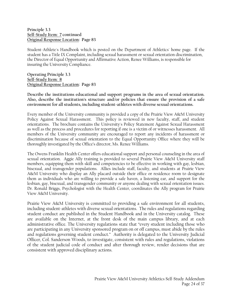**Principle 3.3 Self-Study Item: 7 continued Original Response Location: Page 83** 

Student-Athlete's Handbook which is posted on the Department of Athletics' home page. If the student has a Title IX Complaint, including sexual harassment or sexual orientation discrimination, the Director of Equal Opportunity and Affirmative Action, Renee Williams, is responsible for insuring the University Compliance.

**Operating Principle 3.3 Self-Study Item: 8 Original Response Location: Page 83** 

**Describe the institutions educational and support programs in the area of sexual orientation. Also, describe the institution's structure and/or policies that ensure the provision of a safe environment for all students, including student-athletes with diverse sexual orientations.** 

Every member of the University community is provided a copy of the Prairie View A&M University Policy Against Sexual Harassment. This policy is reviewed in new faculty, staff, and student orientations. The brochure contains the University's Policy Statement Against Sexual Harassment as well as the process and procedures for reporting if one is a victim of or witnesses harassment. All members of the University community are encouraged to report any incidents of harassment or discrimination because of sexual orientation to the Equal Opportunity Office where they will be thoroughly investigated by the Office's director, Ms. Renee Williams.

The Owens Franklin Health Center offers educational support and personal counseling in the area of sexual orientation. Aggie Ally training is provided to several Prairie View A&M University staff members, equipping them with skill and competencies to be effective in working with gay, lesbian, bisexual, and transgender populations. Allies include staff, faculty, and students at Prairie View A&M University who display an Ally placard outside their office or residence room to designate them as individuals who are willing to provide a safe haven, a listening ear, and support for the lesbian, gay, bisexual, and transgender community or anyone dealing with sexual orientation issues. Dr. Ronald Briggs, Psychologist with the Health Center, coordinates the Ally program for Prairie View A&M University.

Prairie View A&M University is committed to providing a safe environment for all students, including student-athletes with diverse sexual orientations. The rules and regulations regarding student conduct are published in the Student Handbook and in the University catalog. These are available on the Internet, at the front desk of the main campus library, and at each administrative office. The University regulations state that "every student including those who are participating in any University sponsored program on or off campus, must abide by the rules and regulations governing student conduct." Authority is delegated to the University Judicial Officer, Col. Sanderson Woods, to investigate, consistent with rules and regulations, violations of the student judicial code of conduct and after thorough review, render decisions that are consistent with approved disciplinary actions.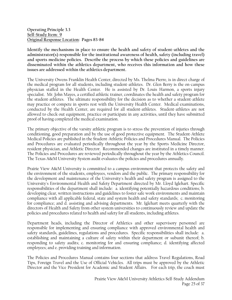**Operating Principle 3.3 Self-Study Item: 9 Original Response Location: Pages 83-84** 

**Identify the mechanisms in place to ensure the health and safety of student-athletes and the administrator(s) responsible for the institutional awareness of health, safety (including travel) and sports medicine policies. Describe the process by which these policies and guidelines are disseminated within the athletics department, who receives this information and how these issues are addressed within the athletics department.** 

The University Owens Franklin Health Center, directed by Ms. Thelma Pierre, is in direct charge of the medical program for all students, including student-athletes. Dr. Glen Berry is the on-campus physician staffed in the Health Center. He is assisted by Dr. Louis Harmon, a sports injury specialist. Mr. John Mayes, a certified athletic trainer, coordinates the health and safety program for the student-athletes. The ultimate responsibility for the decision as to whether a student-athlete may practice or compete in sports rest with the University Health Center. Medical examinations, conducted by the Health Center, are required for all student-athletes. Student-athletes are not allowed to check out equipment, practice or participate in any activities, until they have submitted proof of having completed the medical examination.

The primary objective of the varsity athletic program is to stress the prevention of injuries through conditioning, good preparation and by the use of good protective equipment. The Student-Athlete Medical Policies are published in the Student-Athletic Policies and Procedures Manual. The Policies and Procedures are evaluated periodically throughout the year by the Sports Medicine Director, resident physician, and Athletic Director. Recommended changes are instituted in a timely manner. The Policies and Procedures are reviewed periodically throughout the year by the Athletics Council. The Texas A&M University System audit evaluates the policies and procedures annually.

Prairie View A&M University is committed to a campus environment that protects the safety and the environment of the students, employees, vendors and the public. The primary responsibility for the development and maintenance of the University's health and safety program is assigned to the University's Environmental Health and Safety Department directed by Mr. Lloyd Iglehart. Specific responsibilities of the department shall include: a. identifying potentially hazardous conditions; b. developing clear, written instructions and guidelines to foster safe work environments and maintain compliance with all applicable federal, state and system health and safety standards; c. monitoring for compliance; and d. assisting and advising departments. Mr. Iglehart meets quarterly with the directors of Health and Safety from other system universities to continuously review and update the policies and procedures related to health and safety for all students, including athletes.

Department heads, including the Director of Athletics and other supervisory personnel are responsible for implementing and ensuring compliance with approved environmental health and safety standards, guidelines, regulations and procedures. Specific responsibilities shall include: a. establishing and maintaining a culture of safety within their department or subunit thereof; b. responding to safety audits; c. monitoring for and ensuring compliance; d. identifying affected employees; and e. providing training and information.

The Policies and Procedures Manual contains four sections that address Travel Regulations, Road Tips, Foreign Travel and the Use of Official Vehicles. All trips must be approved by the Athletic Director and the Vice President for Academic and Student Affairs. For each trip, the coach must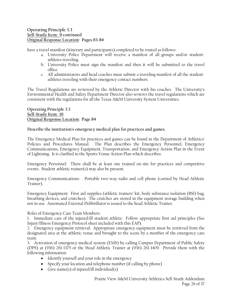have a travel manifest (itinerary and participants) completed to be routed as follows:

- a. University Police Department will receive a manifest of all groups and/or studentathletes traveling.
- b. University Police must sign the manifest and then it will be submitted to the travel office.
- c. All administrators and head coaches must submit a traveling manifest of all the studentathletes traveling with their emergency contact numbers.

The Travel Regulations are reviewed by the Athletic Director with his coaches. The University's Environmental Health and Safety Department Director also reviews the travel regulations which are consistent with the regulations for all the Texas A&M University System Universities.

**Operating Principle 3.3 Self-Study Item: 10 Original Response Location: Page 84** 

**Describe the institution's emergency medical plan for practices and games.** 

The Emergency Medical Plan for practices and games can be found in the Department of Athletics' Policies and Procedures Manual. The Plan describes the Emergency Personnel, Emergency Communications, Emergency Equipment, Transportation, and Emergency Action Plan in the Event of Lightning. It is clarified in the Sports Venue Action Plan which describes:

Emergency Personnel: There shall be at least one trained on-site for practices and competitive events. Student athletic trainer(s) may also be present.

Emergency Communications: Portable two-way radio and cell phone (carried by Head Athletic Trainer).

Emergency Equipment: First aid supplies (athletic trainers' kit, body substance isolation (BSI) bag, breathing devices, and crutches). The crutches are stored in the equipment storage building when not in use. Automated External Defibrillator is issued to the head Athletic Trainer.

Roles of Emergency Care Team Members:

1. Immediate care of the injured/ill student-athlete: Follow appropriate first aid principles (See Injury/Illness Emergency Protocol sheet included with this EAP).

2. Emergency equipment retrieval: Appropriate emergency equipment must be retrieved from the designated area at the athletic venue and brought to the scene by a member of the emergency care team.

3. Activation of emergency medical system (EMS) by calling Campus Department of Public Safety (DPS) at (936) 261-1375 or the Head Athletic Trainer at (936) 261-1409. Provide them with the following information:

- Identify yourself and your role in the emergency
- Specify your location and telephone number (if calling by phone)
- Give name(s) of injured/ill individual(s)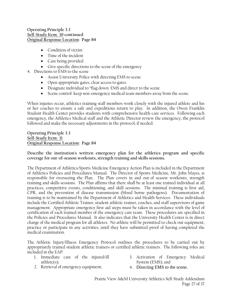- Condition of victim
- Time of the incident
- Care being provided
- Give specific directions to the scene of the emergency
- 4. Directions to EMS to the scene
	- Assist University Police with directing EMS to scene
	- Open appropriate gates, clear access to gates
	- Designate individual to "flag down: EMS and direct to the scene
	- Scene control: keep non-emergency medical team members away from the scene.

When injuries occur, athletics training staff members work closely with the injured athlete and his or her coaches to ensure a safe and expeditious return to play. In addition, the Owen Franklin Student Health Center provides students with comprehensive health-care services. Following each emergency, the Athletics Medical staff and the Athletic Director review the emergency, the protocol followed and make the necessary adjustments in the protocol, if needed.

**Operating Principle 3.3 Self-Study Item: 11 Original Response Location: Page 84** 

**Describe the institution's written emergency plan for the athletics program and specific coverage for out-of-season workouts, strength training and skills sessions.** 

The Department of Athletics/Sports Medicine Emergency Action Plan is included in the Department of Athletics Policies and Procedures Manual. The Director of Sports Medicine, Mr. John Mayes, is responsible for overseeing the Plan. The Plan covers in and out-of season workouts, strength training and skills sessions. The Plan affirms that there shall be at least one trained individual at all practices, competitive events, conditioning, and skill sessions. The minimal training is first aid, CPR, and the prevention of disease transmission (blood borne pathogens). Documentation of training is to be maintained by the Department of Athletics and Health Services. These individuals include the Certified Athletic Trainer, student athletic trainer, coaches, and staff supervisors of game management. Appropriate emergency first aid steps must be taken in accordance with the level of certification of each trained member of the emergency care team. These procedures are specified in the Policies and Procedures Manual. It also indicates that the University Health Center is in direct charge of the medical program for all athletes. No athlete will be permitted to check out equipment, practice or participate in any activities, until they have submitted proof of having completed the medical examination.

The Athletic Injury/Illness Emergency Protocol outlines the procedures to be carried out by appropriately trained student athletic trainers or certified athletic trainers. The following roles are included in the EAP:

- 1. Immediate care of the injured/ill athlete(s);
- 3. Activation of Emergency Medical System (EMS); and
- 2. Retrieval of emergency equipment;
- 4. Directing EMS to the scene.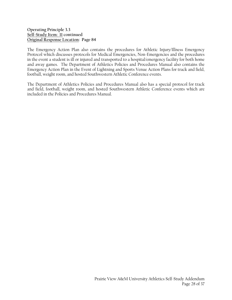The Emergency Action Plan also contains the procedures for Athletic Injury/Illness Emergency Protocol which discusses protocols for Medical Emergencies, Non-Emergencies and the procedures in the event a student is ill or injured and transported to a hospital/emergency facility for both home and away games. The Department of Athletics Policies and Procedures Manual also contains the Emergency Action Plan in the Event of Lightning and Sports Venue Action Plans for track and field, football, weight room, and hosted Southwestern Athletic Conference events.

The Department of Athletics Policies and Procedures Manual also has a special protocol for track and field, football, weight room, and hosted Southwestern Athletic Conference events which are included in the Policies and Procedures Manual.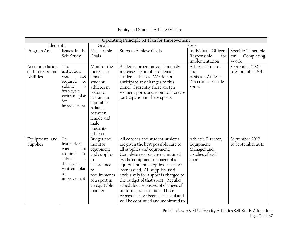| Operating Principle 3.1 Plan for Improvement   |                                                                                                                         |                                                                                                                                                                            |                                                                                                                                                                                                                                                                                                                                                                                                                                                                                    |                                                                                 |                                                 |
|------------------------------------------------|-------------------------------------------------------------------------------------------------------------------------|----------------------------------------------------------------------------------------------------------------------------------------------------------------------------|------------------------------------------------------------------------------------------------------------------------------------------------------------------------------------------------------------------------------------------------------------------------------------------------------------------------------------------------------------------------------------------------------------------------------------------------------------------------------------|---------------------------------------------------------------------------------|-------------------------------------------------|
| Elements                                       |                                                                                                                         | Goals<br><b>Steps</b>                                                                                                                                                      |                                                                                                                                                                                                                                                                                                                                                                                                                                                                                    |                                                                                 |                                                 |
| Program Area                                   | Issues in the<br>Self-Study                                                                                             | Measurable<br>Goals                                                                                                                                                        | <b>Steps to Achieve Goals</b>                                                                                                                                                                                                                                                                                                                                                                                                                                                      | Individual Officers<br>for<br>Responsible<br>Implementation                     | Specific Timetable<br>for<br>Completing<br>Work |
| Accommodation<br>of Interests and<br>Abilities | The<br>institution<br>was<br>not<br>required<br>to<br>submit<br>a<br>first-cycle<br>written plan<br>for<br>improvement. | Monitor the<br>increase of<br>female<br>student-<br>athletes in<br>order to<br>sustain an<br>equitable<br>balance<br>between<br>female and<br>male<br>student-<br>athletes | Athletics programs continuously<br>increase the number of female<br>student-athletes. We do not<br>anticipate any changes to this<br>trend. Currently there are ten<br>women sports and room to increase<br>participation in these sports.                                                                                                                                                                                                                                         | Athletic Director<br>and<br>Assistant Athletic<br>Director for Female<br>Sports | September 2007<br>to September 2011             |
| Equipment and<br>Supplies                      | The<br>institution<br>was<br>not<br>required<br>to<br>submit<br>a<br>first-cycle<br>written plan<br>for<br>improvement. | Budget and<br>monitor<br>equipment<br>and supplies<br>in<br>accordance<br>to<br>requirements<br>of a sport in<br>an equitable<br>manner                                    | All coaches and student-athletes<br>are given the best possible care to<br>all supplies and equipment.<br>Complete records are maintained<br>by the equipment manager of all<br>equipment and supplies that have<br>been issued. All supplies used<br>exclusively for a sport is charged to<br>the budget of that sport. Regular<br>schedules are posted of changes of<br>uniform and materials. These<br>processes have been successful and<br>will be continued and monitored to | Athletic Director,<br>Equipment<br>Manager and,<br>coaches of each<br>sport     | September 2007<br>to September 2011             |

# Equity and Student-Athlete Welfare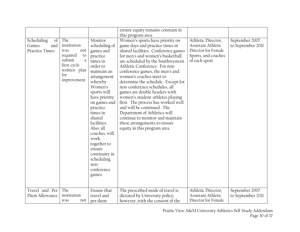|                                                                 |                                                                                                                         |                                                                                                                                                                                                                                                                                                                                                              | ensure equity remains constant in<br>this program area.                                                                                                                                                                                                                                                                                                                                                                                                                                                                                                                                                                               |                                                                                                         |                                     |
|-----------------------------------------------------------------|-------------------------------------------------------------------------------------------------------------------------|--------------------------------------------------------------------------------------------------------------------------------------------------------------------------------------------------------------------------------------------------------------------------------------------------------------------------------------------------------------|---------------------------------------------------------------------------------------------------------------------------------------------------------------------------------------------------------------------------------------------------------------------------------------------------------------------------------------------------------------------------------------------------------------------------------------------------------------------------------------------------------------------------------------------------------------------------------------------------------------------------------------|---------------------------------------------------------------------------------------------------------|-------------------------------------|
| $\sigma$<br>Scheduling<br>and<br>Games<br><b>Practice Times</b> | The<br>institution<br>was<br>not<br>required<br>to<br>submit<br>a<br>first-cycle<br>written plan<br>for<br>improvement. | Monitor<br>scheduling of<br>games and<br>practice<br>times in<br>order to<br>maintain an<br>arrangement<br>whereby<br>Women's<br>sports will<br>have priority<br>on games and<br>practice<br>times in<br>shared<br>facilities.<br>Also, all<br>coaches, will<br>work<br>together to<br>ensure<br>continuity in<br>scheduling<br>non-<br>conference<br>games. | Women's sports have priority on<br>game days and practice times in<br>shared facilities. Conference games<br>for men's and women's basketball<br>are scheduled by the Southwestern<br>Athletic Conference. For non-<br>conference games, the men's and<br>women's coaches meet to<br>determine the schedule. Except for<br>non-conference schedules, all<br>games are double headers with<br>women's student-athletes playing<br>first. The process has worked well<br>and will be continued. The<br>Department of Athletics will<br>continue to monitor and maintain<br>these arrangements to ensure<br>equity in this program area. | Athletic Director,<br>Assistant Athletic<br>Director for Female<br>Sports, and coaches<br>of each sport | September 2007<br>to September 2011 |
| Travel and Per<br>Diem Allowance                                | The<br>institution<br>was<br>not                                                                                        | Ensure that<br>travel and<br>per diem                                                                                                                                                                                                                                                                                                                        | The prescribed mode of travel is<br>dictated by University policy;<br>however, with the consent of the                                                                                                                                                                                                                                                                                                                                                                                                                                                                                                                                | Athletic Director,<br>Assistant Athletic<br>Director for Female                                         | September 2007<br>to September 2011 |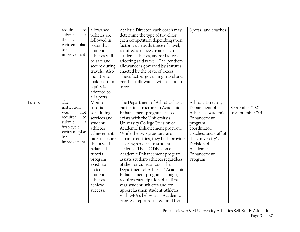|        | required<br>to<br>submit<br>a<br>first-cycle<br>written plan<br>for<br>improvement.                                     | allowance<br>policies are<br>followed in<br>order that<br>student-<br>athletes will<br>be safe and<br>secure during<br>travels. Also<br>monitor to<br>make certain<br>equity is<br>afforded to<br>all sports                        | Athletic Director, each coach may<br>determine the type of travel for<br>each competition depending upon<br>factors such as distance of travel,<br>required absences from class of<br>student-athletes, and/or factors<br>affecting said travel. The per diem<br>allowance is governed by statutes<br>enacted by the State of Texas.<br>These factors governing travel and<br>per diem allowance will remain in<br>force.                                                                                                                                                                                                                                                                                      | Sports, and coaches                                                                                                                                                                                   |                                     |
|--------|-------------------------------------------------------------------------------------------------------------------------|-------------------------------------------------------------------------------------------------------------------------------------------------------------------------------------------------------------------------------------|----------------------------------------------------------------------------------------------------------------------------------------------------------------------------------------------------------------------------------------------------------------------------------------------------------------------------------------------------------------------------------------------------------------------------------------------------------------------------------------------------------------------------------------------------------------------------------------------------------------------------------------------------------------------------------------------------------------|-------------------------------------------------------------------------------------------------------------------------------------------------------------------------------------------------------|-------------------------------------|
| Tutors | The<br>institution<br>was<br>not<br>required<br>to<br>submit<br>a<br>first-cycle<br>written plan<br>for<br>improvement. | Monitor<br>tutorial<br>scheduling,<br>services and<br>student-<br>athletes<br>achievement<br>rate to ensure<br>that a well<br>balanced<br>tutorial<br>program<br>exists to<br>assist<br>student-<br>athletes<br>achieve<br>success. | The Department of Athletics has as<br>part of its structure an Academic<br>Enhancement program that co-<br>exists with the University's<br>University College Division of<br>Academic Enhancement program.<br>While the two programs are<br>separate entities, they both provide<br>tutoring services to student-<br>athletes. The UC Division of<br>Academic Enhancement program<br>assists student-athletes regardless<br>of their circumstances. The<br>Department of Athletics' Academic<br>Enhancement program, though,<br>requires participation of all first<br>year student-athletes and for<br>upperclassmen student-athletes<br>with GPA's below 2.5. Academic<br>progress reports are required from | Athletic Director,<br>Department of<br>Athletics Academic<br>Enhancement<br>program<br>coordinator,<br>coaches, and staff of<br>the University's<br>Division of<br>Academic<br>Enhancement<br>Program | September 2007<br>to September 2011 |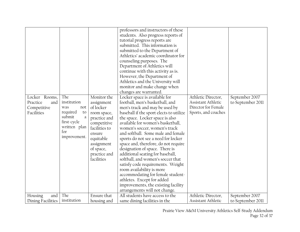| Locker Rooms,<br>Practice<br>and<br>Competitive<br>Facilities | The<br>institution<br>was<br>not<br>required<br>to<br>submit<br>a<br>first-cycle<br>written plan<br>for<br>improvement. | Monitor the<br>assignment<br>of locker<br>room space,<br>practice and<br>competitive<br>facilities to<br>ensure<br>equitable<br>assignment<br>of space,<br>practice and<br>facilities | professors and instructors of these<br>students. Also progress reports of<br>tutorial progress reports are<br>submitted. This information is<br>submitted to the Department of<br>Athletics' academic coordinator for<br>counseling purposes. The<br>Department of Athletics will<br>continue with this activity as is.<br>However, the Department of<br>Athletics and the University will<br>monitor and make change when<br>changes are warranted.<br>Locker space is available for<br>football, men's basketball, and<br>men's track and may be used by<br>baseball if the sport elects to utilize<br>the space. Locker space is also<br>available for women's basketball,<br>women's soccer, women's track<br>and softball. Some male and female<br>sports do not see a need for locker<br>space and, therefore, do not require<br>designation of space. There is<br>additional seating for baseball,<br>softball, and women's soccer that<br>satisfy code requirements. Weight<br>room availability is more<br>accommodating for female student- | Athletic Director,<br>Assistant Athletic<br>Director for Female<br>Sports, and coaches | September 2007<br>to September 2011 |
|---------------------------------------------------------------|-------------------------------------------------------------------------------------------------------------------------|---------------------------------------------------------------------------------------------------------------------------------------------------------------------------------------|-------------------------------------------------------------------------------------------------------------------------------------------------------------------------------------------------------------------------------------------------------------------------------------------------------------------------------------------------------------------------------------------------------------------------------------------------------------------------------------------------------------------------------------------------------------------------------------------------------------------------------------------------------------------------------------------------------------------------------------------------------------------------------------------------------------------------------------------------------------------------------------------------------------------------------------------------------------------------------------------------------------------------------------------------------|----------------------------------------------------------------------------------------|-------------------------------------|
|                                                               |                                                                                                                         |                                                                                                                                                                                       | athletes. Except for added<br>improvements, the existing facility                                                                                                                                                                                                                                                                                                                                                                                                                                                                                                                                                                                                                                                                                                                                                                                                                                                                                                                                                                                     |                                                                                        |                                     |
|                                                               |                                                                                                                         |                                                                                                                                                                                       | arrangements will not change.                                                                                                                                                                                                                                                                                                                                                                                                                                                                                                                                                                                                                                                                                                                                                                                                                                                                                                                                                                                                                         |                                                                                        |                                     |
| Housing<br>and                                                | The                                                                                                                     | Ensure that<br>housing and                                                                                                                                                            | All students have access to the<br>same dining facilities in the                                                                                                                                                                                                                                                                                                                                                                                                                                                                                                                                                                                                                                                                                                                                                                                                                                                                                                                                                                                      | Athletic Director,                                                                     | September 2007                      |
| Dining Facilities                                             | institution                                                                                                             | Assistant Athletic                                                                                                                                                                    | to September 2011                                                                                                                                                                                                                                                                                                                                                                                                                                                                                                                                                                                                                                                                                                                                                                                                                                                                                                                                                                                                                                     |                                                                                        |                                     |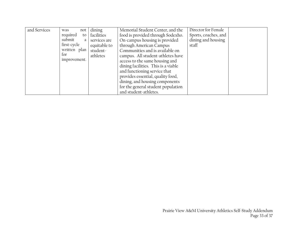| and Services | not<br>was     | dining       | Memorial Student Center, and the    | Director for Female  |
|--------------|----------------|--------------|-------------------------------------|----------------------|
|              | required<br>to | facilities   | food is provided through Sodexho.   | Sports, coaches, and |
|              | submit<br>a    | services are | On-campus housing is provided       | dining and housing   |
|              | first-cycle    | equitable to | through American Campus             | staff                |
|              | written plan   | student-     | Communities and is available on     |                      |
|              | tor            | athletes     | campus. All student-athletes have   |                      |
|              | improvement.   |              | access to the same housing and      |                      |
|              |                |              | dining facilities. This is a viable |                      |
|              |                |              | and functioning service that        |                      |
|              |                |              | provides essential, quality food,   |                      |
|              |                |              | dining, and housing components      |                      |
|              |                |              | for the general student population  |                      |
|              |                |              | and student-athletes.               |                      |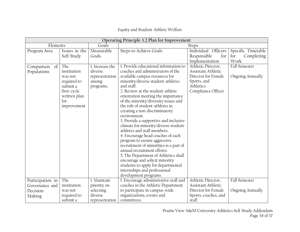# Equity and Student-Athlete Welfare

| Operating Principle 3.2 Plan for Improvement |                                                                                                               |                                                                    |                                                                                                                                                                                                                                                                                                                                                                                                                                                                                                                                                                                                                                                                                                                                                                                                                |                                                                                                                          |                                                 |  |  |  |  |  |  |  |
|----------------------------------------------|---------------------------------------------------------------------------------------------------------------|--------------------------------------------------------------------|----------------------------------------------------------------------------------------------------------------------------------------------------------------------------------------------------------------------------------------------------------------------------------------------------------------------------------------------------------------------------------------------------------------------------------------------------------------------------------------------------------------------------------------------------------------------------------------------------------------------------------------------------------------------------------------------------------------------------------------------------------------------------------------------------------------|--------------------------------------------------------------------------------------------------------------------------|-------------------------------------------------|--|--|--|--|--|--|--|
| Elements                                     |                                                                                                               | Goals                                                              |                                                                                                                                                                                                                                                                                                                                                                                                                                                                                                                                                                                                                                                                                                                                                                                                                | <b>Steps</b>                                                                                                             |                                                 |  |  |  |  |  |  |  |
| Program Area                                 | Issues in the<br>Self-Study                                                                                   | Measurable<br>Goals                                                | Steps to Achieve Goals                                                                                                                                                                                                                                                                                                                                                                                                                                                                                                                                                                                                                                                                                                                                                                                         | Individual Officers<br>Responsible<br>for<br>Implementation                                                              | Specific Timetable<br>Completing<br>for<br>Work |  |  |  |  |  |  |  |
| Comparison<br>of<br>Populations              | The<br>institution<br>was not<br>required to<br>submit a<br>first-cycle<br>written plan<br>for<br>improvement | 1. Increase the<br>diverse<br>representation<br>among<br>programs. | 1. Provide educational information to<br>coaches and administrators of the<br>available campus resources for<br>minority/diverse student-athletes<br>and staff.<br>2. Review at the student-athlete<br>orientation meeting the importance<br>of the minority/diversity issues and<br>the role of student-athletes in<br>creating a non-discriminatory<br>environment.<br>3. Provide a supportive and inclusive<br>climate for minority/diverse student-<br>athletes and staff members.<br>4. Encourage head coaches of each<br>program to ensure aggressive<br>recruitment of minorities is a part of<br>annual recruitment efforts.<br>5. The Department of Athletics shall<br>encourage and solicit minority<br>students to apply for departmental<br>internships and professional-<br>development programs. | Athletic Director,<br>Assistant Athletic<br>Director for Female<br>Sports, and<br><b>Athletics</b><br>Compliance Officer | Fall Semester<br><b>Ongoing Annually</b>        |  |  |  |  |  |  |  |
| Participation in                             | The                                                                                                           | 1. Maintain                                                        | 1. Encourage administrative staff and                                                                                                                                                                                                                                                                                                                                                                                                                                                                                                                                                                                                                                                                                                                                                                          | Athletic Director,                                                                                                       | Fall Semester                                   |  |  |  |  |  |  |  |
| Governance and                               | institution                                                                                                   | priority on                                                        | coaches in the Athletic Department                                                                                                                                                                                                                                                                                                                                                                                                                                                                                                                                                                                                                                                                                                                                                                             | Assistant Athletic                                                                                                       |                                                 |  |  |  |  |  |  |  |
| Decision-                                    | was not                                                                                                       | selecting                                                          | to participate in campus-wide                                                                                                                                                                                                                                                                                                                                                                                                                                                                                                                                                                                                                                                                                                                                                                                  | Director for Female                                                                                                      | <b>Ongoing Annually</b>                         |  |  |  |  |  |  |  |
| Making                                       | required to                                                                                                   | diverse                                                            | organizations, events and<br>committees.                                                                                                                                                                                                                                                                                                                                                                                                                                                                                                                                                                                                                                                                                                                                                                       | Sports, coaches, and<br>staff                                                                                            |                                                 |  |  |  |  |  |  |  |
|                                              | submit a                                                                                                      | representation                                                     |                                                                                                                                                                                                                                                                                                                                                                                                                                                                                                                                                                                                                                                                                                                                                                                                                |                                                                                                                          |                                                 |  |  |  |  |  |  |  |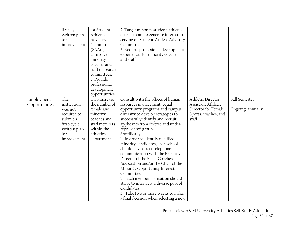|                   | first-cycle  | for Student-    | 2. Target minority student-athletes          |                      |                         |
|-------------------|--------------|-----------------|----------------------------------------------|----------------------|-------------------------|
|                   | written plan | Athletes        | on each team to generate interest in         |                      |                         |
| for               |              | Advisory        | serving on Student-Athlete Advisory          |                      |                         |
|                   | improvement. | Committee       | Committee.                                   |                      |                         |
|                   |              | $(SAAC)$ .      | 3. Require professional development          |                      |                         |
|                   |              | 2. Involve      | experiences for minority coaches             |                      |                         |
|                   |              | minority        | and staff.                                   |                      |                         |
|                   |              | coaches and     |                                              |                      |                         |
|                   |              | staff on search |                                              |                      |                         |
|                   |              | committees.     |                                              |                      |                         |
|                   |              | 3. Provide      |                                              |                      |                         |
|                   |              | professional    |                                              |                      |                         |
|                   |              | development     |                                              |                      |                         |
|                   |              | opportunities.  |                                              |                      |                         |
| The<br>Employment |              | 1. To increase  | Consult with the offices of human            | Athletic Director,   | Fall Semester           |
| Opportunities     | institution  | the number of   | resources management, equal                  | Assistant Athletic   |                         |
|                   | was not      | female and      | opportunity programs and campus              | Director for Female  | <b>Ongoing Annually</b> |
|                   | required to  | minority        | diversity to develop strategies to           | Sports, coaches, and |                         |
|                   | submit a     | coaches and     | successfully identify and recruit            | staff                |                         |
|                   | first-cycle  | staff members   | applicants from diverse and under-           |                      |                         |
|                   | written plan | within the      | represented groups.                          |                      |                         |
| for               |              | athletics       | Specifically:                                |                      |                         |
|                   | improvement  | department.     | 1. In order to identify qualified            |                      |                         |
|                   |              |                 | minority candidates, each school             |                      |                         |
|                   |              |                 | should have direct telephone                 |                      |                         |
|                   |              |                 | communication with the Executive             |                      |                         |
|                   |              |                 | Director of the Black Coaches                |                      |                         |
|                   |              |                 | Association and/or the Chair of the          |                      |                         |
|                   |              |                 | Minority Opportunity Interests<br>Committee. |                      |                         |
|                   |              |                 | 2. Each member institution should            |                      |                         |
|                   |              |                 | strive to interview a diverse pool of        |                      |                         |
|                   |              |                 | candidates.                                  |                      |                         |
|                   |              |                 | 3. Take two or more weeks to make            |                      |                         |
|                   |              |                 |                                              |                      |                         |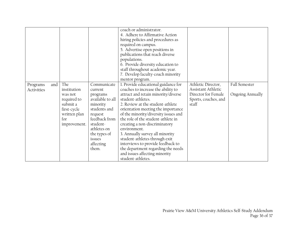|                               |                                                                                                                |                                                                                                                                                                                           | coach or administrator.<br>4. Adhere to Affirmative Action<br>hiring policies and procedures as<br>required on campus.<br>5. Advertise open positions in<br>publications that reach diverse<br>populations.<br>6. Provide diversity education to<br>staff throughout academic year.<br>7. Develop faculty-coach minority<br>mentor program.                                                                                                                                                                                                         |                                                                                                  |                                                 |
|-------------------------------|----------------------------------------------------------------------------------------------------------------|-------------------------------------------------------------------------------------------------------------------------------------------------------------------------------------------|-----------------------------------------------------------------------------------------------------------------------------------------------------------------------------------------------------------------------------------------------------------------------------------------------------------------------------------------------------------------------------------------------------------------------------------------------------------------------------------------------------------------------------------------------------|--------------------------------------------------------------------------------------------------|-------------------------------------------------|
| and<br>Programs<br>Activities | The<br>institution<br>was not<br>required to<br>submit a<br>first-cycle<br>written plan<br>for<br>improvement. | Communicate<br>current<br>programs<br>available to all<br>minority<br>students and<br>request<br>feedback from<br>student-<br>athletes on<br>the types of<br>issues<br>affecting<br>them. | 1. Provide educational guidance for<br>coaches to increase the ability to<br>attract and retain minority/diverse<br>student-athletes.<br>2. Review at the student-athlete<br>orientation meeting the importance<br>of the minority/diversity issues and<br>the role of the student-athlete in<br>creating a non-discriminatory<br>environment.<br>3. Annually survey all minority<br>student-athletes through exit<br>interviews to provide feedback to<br>the department regarding the needs<br>and issues affecting minority<br>student-athletes. | Athletic Director,<br>Assistant Athletic<br>Director for Female<br>Sports, coaches, and<br>staff | <b>Fall Semester</b><br><b>Ongoing Annually</b> |